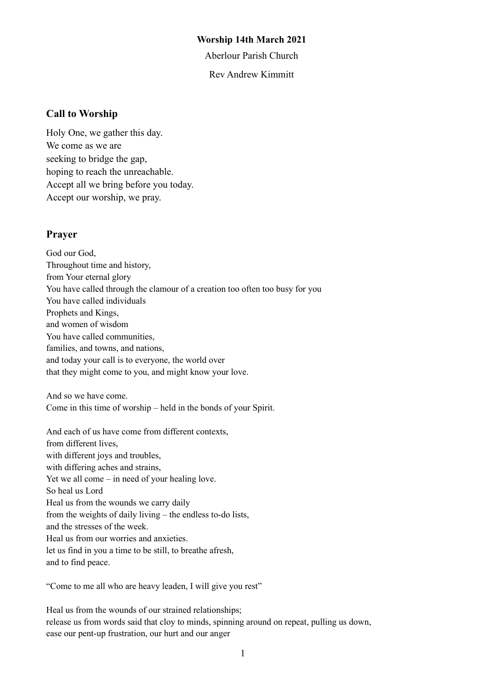#### **Worship 14th March 2021**

Aberlour Parish Church

Rev Andrew Kimmitt

#### **Call to Worship**

Holy One, we gather this day. We come as we are seeking to bridge the gap, hoping to reach the unreachable. Accept all we bring before you today. Accept our worship, we pray.

#### **Prayer**

God our God, Throughout time and history, from Your eternal glory You have called through the clamour of a creation too often too busy for you You have called individuals Prophets and Kings, and women of wisdom You have called communities, families, and towns, and nations, and today your call is to everyone, the world over that they might come to you, and might know your love.

And so we have come. Come in this time of worship – held in the bonds of your Spirit.

And each of us have come from different contexts, from different lives, with different joys and troubles, with differing aches and strains, Yet we all come – in need of your healing love. So heal us Lord Heal us from the wounds we carry daily from the weights of daily living – the endless to-do lists, and the stresses of the week. Heal us from our worries and anxieties. let us find in you a time to be still, to breathe afresh, and to find peace.

"Come to me all who are heavy leaden, I will give you rest"

Heal us from the wounds of our strained relationships; release us from words said that cloy to minds, spinning around on repeat, pulling us down, ease our pent-up frustration, our hurt and our anger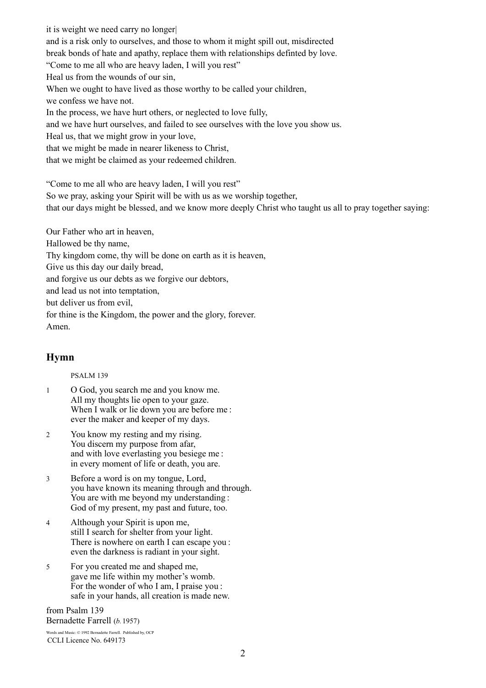it is weight we need carry no longer| and is a risk only to ourselves, and those to whom it might spill out, misdirected break bonds of hate and apathy, replace them with relationships definted by love. "Come to me all who are heavy laden, I will you rest" Heal us from the wounds of our sin, When we ought to have lived as those worthy to be called your children, we confess we have not. In the process, we have hurt others, or neglected to love fully, and we have hurt ourselves, and failed to see ourselves with the love you show us. Heal us, that we might grow in your love, that we might be made in nearer likeness to Christ, that we might be claimed as your redeemed children.

"Come to me all who are heavy laden, I will you rest"

So we pray, asking your Spirit will be with us as we worship together,

that our days might be blessed, and we know more deeply Christ who taught us all to pray together saying:

Our Father who art in heaven,

Hallowed be thy name,

Thy kingdom come, thy will be done on earth as it is heaven,

Give us this day our daily bread,

and forgive us our debts as we forgive our debtors,

and lead us not into temptation,

but deliver us from evil,

for thine is the Kingdom, the power and the glory, forever. Amen.

# **Hymn**

PSALM 139

- 1 O God, you search me and you know me. All my thoughts lie open to your gaze. When I walk or lie down you are before me : ever the maker and keeper of my days.
- 2 You know my resting and my rising. You discern my purpose from afar, and with love everlasting you besiege me : in every moment of life or death, you are.
- 3 Before a word is on my tongue, Lord, you have known its meaning through and through. You are with me beyond my understanding : God of my present, my past and future, too.
- 4 Although your Spirit is upon me, still I search for shelter from your light. There is nowhere on earth I can escape you : even the darkness is radiant in your sight.
- 5 For you created me and shaped me, gave me life within my mother's womb. For the wonder of who I am, I praise you : safe in your hands, all creation is made new.

from Psalm 139 Bernadette Farrell (*b.*1957)

Words and Music: © 1992 Bernadette Farrell. Published by, OCP CCLI Licence No. 649173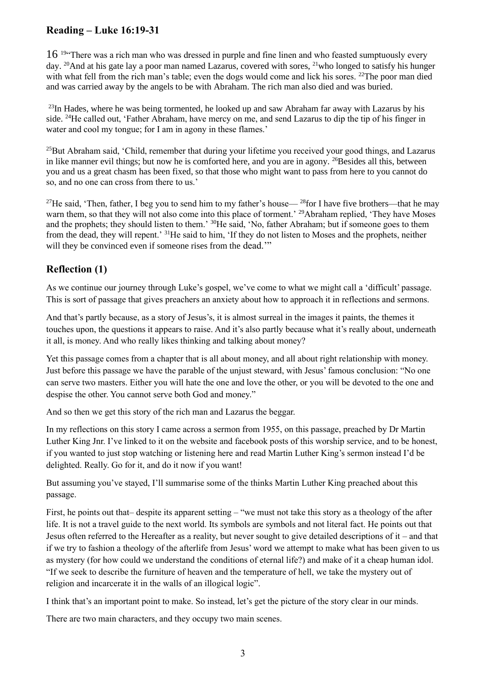# **Reading – Luke 16:19-31**

 $16<sup>19</sup>$  There was a rich man who was dressed in purple and fine linen and who feasted sumptuously every day. <sup>20</sup>And at his gate lay a poor man named Lazarus, covered with sores, <sup>21</sup>who longed to satisfy his hunger with what fell from the rich man's table; even the dogs would come and lick his sores. <sup>22</sup>The poor man died and was carried away by the angels to be with Abraham. The rich man also died and was buried.

 $^{23}$ In Hades, where he was being tormented, he looked up and saw Abraham far away with Lazarus by his side. <sup>24</sup>He called out, 'Father Abraham, have mercy on me, and send Lazarus to dip the tip of his finger in water and cool my tongue; for I am in agony in these flames.'

<sup>25</sup>But Abraham said, 'Child, remember that during your lifetime you received your good things, and Lazarus in like manner evil things; but now he is comforted here, and you are in agony. <sup>26</sup>Besides all this, between you and us a great chasm has been fixed, so that those who might want to pass from here to you cannot do so, and no one can cross from there to us.'

<sup>27</sup>He said, 'Then, father, I beg you to send him to my father's house— <sup>28</sup>for I have five brothers—that he may warn them, so that they will not also come into this place of torment.' <sup>29</sup>Abraham replied, 'They have Moses' and the prophets; they should listen to them.' <sup>30</sup>He said, 'No, father Abraham; but if someone goes to them from the dead, they will repent.' <sup>31</sup>He said to him, 'If they do not listen to Moses and the prophets, neither will they be convinced even if someone rises from the dead."

# **Reflection (1)**

As we continue our journey through Luke's gospel, we've come to what we might call a 'difficult' passage. This is sort of passage that gives preachers an anxiety about how to approach it in reflections and sermons.

And that's partly because, as a story of Jesus's, it is almost surreal in the images it paints, the themes it touches upon, the questions it appears to raise. And it's also partly because what it's really about, underneath it all, is money. And who really likes thinking and talking about money?

Yet this passage comes from a chapter that is all about money, and all about right relationship with money. Just before this passage we have the parable of the unjust steward, with Jesus' famous conclusion: "No one can serve two masters. Either you will hate the one and love the other, or you will be devoted to the one and despise the other. You cannot serve both God and money."

And so then we get this story of the rich man and Lazarus the beggar.

In my reflections on this story I came across a sermon from 1955, on this passage, preached by Dr Martin Luther King Jnr. I've linked to it on the website and facebook posts of this worship service, and to be honest, if you wanted to just stop watching or listening here and read Martin Luther King's sermon instead I'd be delighted. Really. Go for it, and do it now if you want!

But assuming you've stayed, I'll summarise some of the thinks Martin Luther King preached about this passage.

First, he points out that– despite its apparent setting – "we must not take this story as a theology of the after life. It is not a travel guide to the next world. Its symbols are symbols and not literal fact. He points out that Jesus often referred to the Hereafter as a reality, but never sought to give detailed descriptions of it – and that if we try to fashion a theology of the afterlife from Jesus' word we attempt to make what has been given to us as mystery (for how could we understand the conditions of eternal life?) and make of it a cheap human idol. "If we seek to describe the furniture of heaven and the temperature of hell, we take the mystery out of religion and incarcerate it in the walls of an illogical logic".

I think that's an important point to make. So instead, let's get the picture of the story clear in our minds.

There are two main characters, and they occupy two main scenes.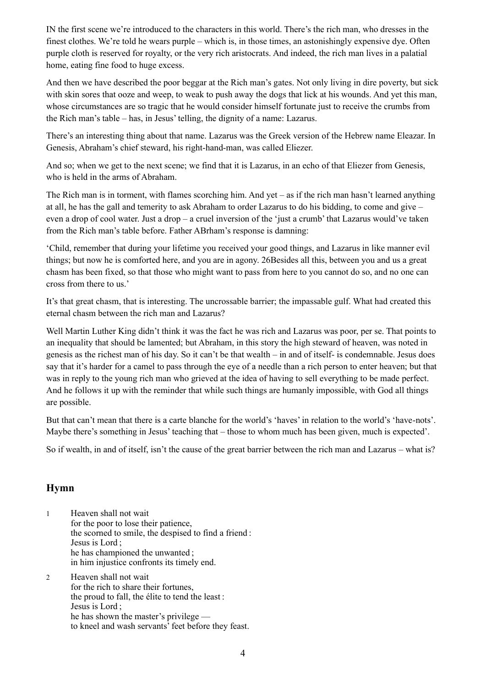IN the first scene we're introduced to the characters in this world. There's the rich man, who dresses in the finest clothes. We're told he wears purple – which is, in those times, an astonishingly expensive dye. Often purple cloth is reserved for royalty, or the very rich aristocrats. And indeed, the rich man lives in a palatial home, eating fine food to huge excess.

And then we have described the poor beggar at the Rich man's gates. Not only living in dire poverty, but sick with skin sores that ooze and weep, to weak to push away the dogs that lick at his wounds. And yet this man, whose circumstances are so tragic that he would consider himself fortunate just to receive the crumbs from the Rich man's table – has, in Jesus' telling, the dignity of a name: Lazarus.

There's an interesting thing about that name. Lazarus was the Greek version of the Hebrew name Eleazar. In Genesis, Abraham's chief steward, his right-hand-man, was called Eliezer.

And so; when we get to the next scene; we find that it is Lazarus, in an echo of that Eliezer from Genesis, who is held in the arms of Abraham.

The Rich man is in torment, with flames scorching him. And yet – as if the rich man hasn't learned anything at all, he has the gall and temerity to ask Abraham to order Lazarus to do his bidding, to come and give – even a drop of cool water. Just a drop – a cruel inversion of the 'just a crumb' that Lazarus would've taken from the Rich man's table before. Father ABrham's response is damning:

'Child, remember that during your lifetime you received your good things, and Lazarus in like manner evil things; but now he is comforted here, and you are in agony. 26Besides all this, between you and us a great chasm has been fixed, so that those who might want to pass from here to you cannot do so, and no one can cross from there to us.'

It's that great chasm, that is interesting. The uncrossable barrier; the impassable gulf. What had created this eternal chasm between the rich man and Lazarus?

Well Martin Luther King didn't think it was the fact he was rich and Lazarus was poor, per se. That points to an inequality that should be lamented; but Abraham, in this story the high steward of heaven, was noted in genesis as the richest man of his day. So it can't be that wealth – in and of itself- is condemnable. Jesus does say that it's harder for a camel to pass through the eye of a needle than a rich person to enter heaven; but that was in reply to the young rich man who grieved at the idea of having to sell everything to be made perfect. And he follows it up with the reminder that while such things are humanly impossible, with God all things are possible.

But that can't mean that there is a carte blanche for the world's 'haves' in relation to the world's 'have-nots'. Maybe there's something in Jesus' teaching that – those to whom much has been given, much is expected'.

So if wealth, in and of itself, isn't the cause of the great barrier between the rich man and Lazarus – what is?

# **Hymn**

- 1 Heaven shall not wait for the poor to lose their patience, the scorned to smile, the despised to find a friend : Jesus is Lord ; he has championed the unwanted ; in him injustice confronts its timely end.
- 2 Heaven shall not wait for the rich to share their fortunes, the proud to fall, the élite to tend the least : Jesus is Lord ; he has shown the master's privilege to kneel and wash servants' feet before they feast.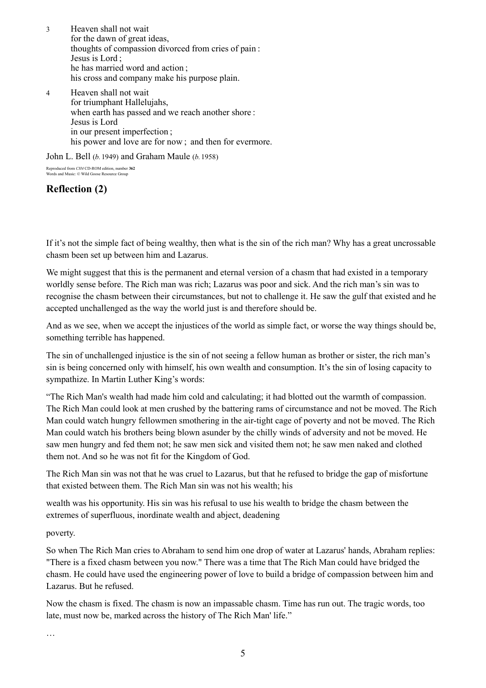- 3 Heaven shall not wait for the dawn of great ideas, thoughts of compassion divorced from cries of pain : Jesus is Lord ; he has married word and action ; his cross and company make his purpose plain.
- 4 Heaven shall not wait for triumphant Hallelujahs, when earth has passed and we reach another shore : Jesus is Lord in our present imperfection ; his power and love are for now; and then for evermore.

John L. Bell (*b.*1949) and Graham Maule (*b.*1958)

Reproduced from *CH4* CD-ROM edition, number **362** Words and Music: © Wild Goose Resource Grou

# **Reflection (2)**

If it's not the simple fact of being wealthy, then what is the sin of the rich man? Why has a great uncrossable chasm been set up between him and Lazarus.

We might suggest that this is the permanent and eternal version of a chasm that had existed in a temporary worldly sense before. The Rich man was rich; Lazarus was poor and sick. And the rich man's sin was to recognise the chasm between their circumstances, but not to challenge it. He saw the gulf that existed and he accepted unchallenged as the way the world just is and therefore should be.

And as we see, when we accept the injustices of the world as simple fact, or worse the way things should be, something terrible has happened.

The sin of unchallenged injustice is the sin of not seeing a fellow human as brother or sister, the rich man's sin is being concerned only with himself, his own wealth and consumption. It's the sin of losing capacity to sympathize. In Martin Luther King's words:

"The Rich Man's wealth had made him cold and calculating; it had blotted out the warmth of compassion. The Rich Man could look at men crushed by the battering rams of circumstance and not be moved. The Rich Man could watch hungry fellowmen smothering in the air-tight cage of poverty and not be moved. The Rich Man could watch his brothers being blown asunder by the chilly winds of adversity and not be moved. He saw men hungry and fed them not; he saw men sick and visited them not; he saw men naked and clothed them not. And so he was not fit for the Kingdom of God.

The Rich Man sin was not that he was cruel to Lazarus, but that he refused to bridge the gap of misfortune that existed between them. The Rich Man sin was not his wealth; his

wealth was his opportunity. His sin was his refusal to use his wealth to bridge the chasm between the extremes of superfluous, inordinate wealth and abject, deadening

poverty.

So when The Rich Man cries to Abraham to send him one drop of water at Lazarus' hands, Abraham replies: "There is a fixed chasm between you now." There was a time that The Rich Man could have bridged the chasm. He could have used the engineering power of love to build a bridge of compassion between him and Lazarus. But he refused.

Now the chasm is fixed. The chasm is now an impassable chasm. Time has run out. The tragic words, too late, must now be, marked across the history of The Rich Man' life."

…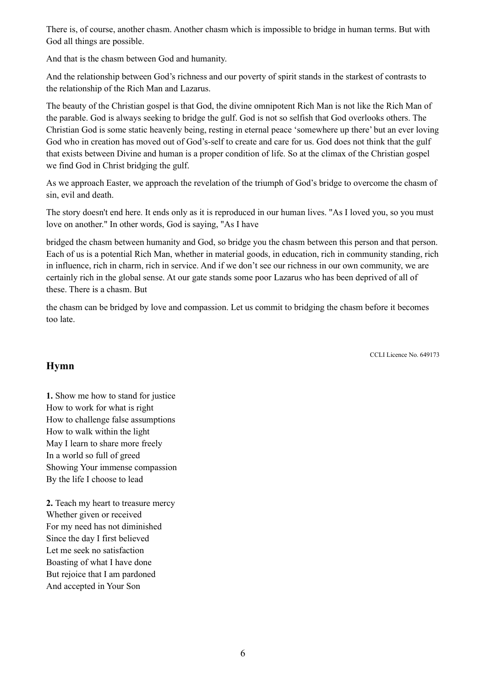There is, of course, another chasm. Another chasm which is impossible to bridge in human terms. But with God all things are possible.

And that is the chasm between God and humanity.

And the relationship between God's richness and our poverty of spirit stands in the starkest of contrasts to the relationship of the Rich Man and Lazarus.

The beauty of the Christian gospel is that God, the divine omnipotent Rich Man is not like the Rich Man of the parable. God is always seeking to bridge the gulf. God is not so selfish that God overlooks others. The Christian God is some static heavenly being, resting in eternal peace 'somewhere up there' but an ever loving God who in creation has moved out of God's-self to create and care for us. God does not think that the gulf that exists between Divine and human is a proper condition of life. So at the climax of the Christian gospel we find God in Christ bridging the gulf.

As we approach Easter, we approach the revelation of the triumph of God's bridge to overcome the chasm of sin, evil and death.

The story doesn't end here. It ends only as it is reproduced in our human lives. "As I loved you, so you must love on another." In other words, God is saying, "As I have

bridged the chasm between humanity and God, so bridge you the chasm between this person and that person. Each of us is a potential Rich Man, whether in material goods, in education, rich in community standing, rich in influence, rich in charm, rich in service. And if we don't see our richness in our own community, we are certainly rich in the global sense. At our gate stands some poor Lazarus who has been deprived of all of these. There is a chasm. But

the chasm can be bridged by love and compassion. Let us commit to bridging the chasm before it becomes too late.

CCLI Licence No. 649173

# **Hymn**

**1.** Show me how to stand for justice How to work for what is right How to challenge false assumptions How to walk within the light May I learn to share more freely In a world so full of greed Showing Your immense compassion By the life I choose to lead

**2.** Teach my heart to treasure mercy Whether given or received For my need has not diminished Since the day I first believed Let me seek no satisfaction Boasting of what I have done But rejoice that I am pardoned And accepted in Your Son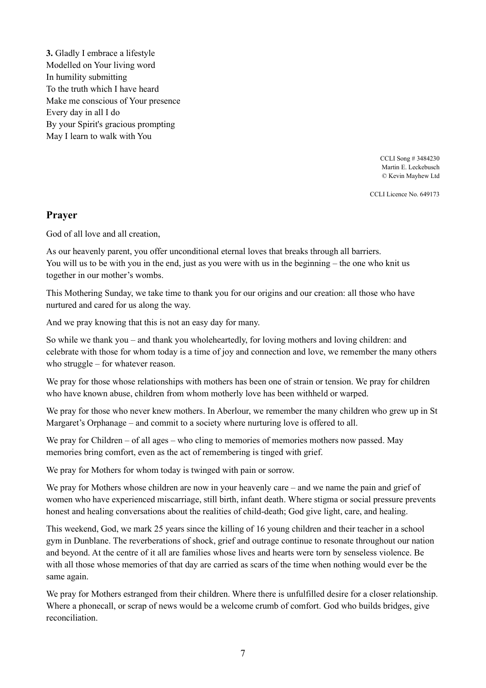**3.** Gladly I embrace a lifestyle Modelled on Your living word In humility submitting To the truth which I have heard Make me conscious of Your presence Every day in all I do By your Spirit's gracious prompting May I learn to walk with You

> CCLI Song # 3484230 Martin E. Leckebusch © Kevin Mayhew Ltd

CCLI Licence No. 649173

#### **Prayer**

God of all love and all creation,

As our heavenly parent, you offer unconditional eternal loves that breaks through all barriers. You will us to be with you in the end, just as you were with us in the beginning – the one who knit us together in our mother's wombs.

This Mothering Sunday, we take time to thank you for our origins and our creation: all those who have nurtured and cared for us along the way.

And we pray knowing that this is not an easy day for many.

So while we thank you – and thank you wholeheartedly, for loving mothers and loving children: and celebrate with those for whom today is a time of joy and connection and love, we remember the many others who struggle – for whatever reason.

We pray for those whose relationships with mothers has been one of strain or tension. We pray for children who have known abuse, children from whom motherly love has been withheld or warped.

We pray for those who never knew mothers. In Aberlour, we remember the many children who grew up in St Margaret's Orphanage – and commit to a society where nurturing love is offered to all.

We pray for Children – of all ages – who cling to memories of memories mothers now passed. May memories bring comfort, even as the act of remembering is tinged with grief.

We pray for Mothers for whom today is twinged with pain or sorrow.

We pray for Mothers whose children are now in your heavenly care – and we name the pain and grief of women who have experienced miscarriage, still birth, infant death. Where stigma or social pressure prevents honest and healing conversations about the realities of child-death; God give light, care, and healing.

This weekend, God, we mark 25 years since the killing of 16 young children and their teacher in a school gym in Dunblane. The reverberations of shock, grief and outrage continue to resonate throughout our nation and beyond. At the centre of it all are families whose lives and hearts were torn by senseless violence. Be with all those whose memories of that day are carried as scars of the time when nothing would ever be the same again.

We pray for Mothers estranged from their children. Where there is unfulfilled desire for a closer relationship. Where a phonecall, or scrap of news would be a welcome crumb of comfort. God who builds bridges, give reconciliation.